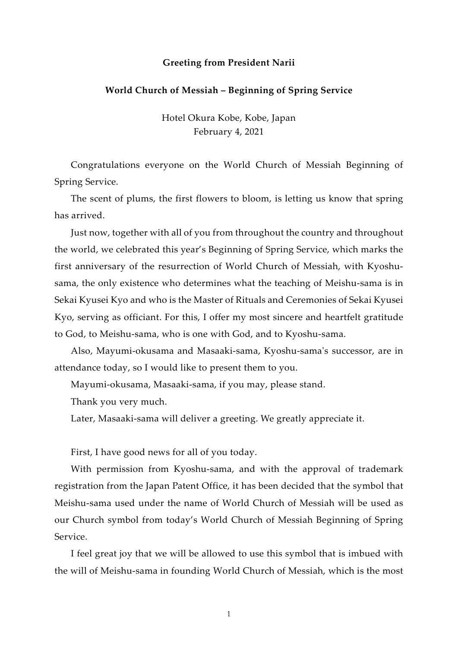## Greeting from President Narii

## World Church of Messiah – Beginning of Spring Service

Hotel Okura Kobe, Kobe, Japan February 4, 2021

Congratulations everyone on the World Church of Messiah Beginning of Spring Service.

The scent of plums, the first flowers to bloom, is letting us know that spring has arrived.

Just now, together with all of you from throughout the country and throughout the world, we celebrated this year's Beginning of Spring Service, which marks the first anniversary of the resurrection of World Church of Messiah, with Kyoshusama, the only existence who determines what the teaching of Meishu-sama is in Sekai Kyusei Kyo and who is the Master of Rituals and Ceremonies of Sekai Kyusei Kyo, serving as officiant. For this, I offer my most sincere and heartfelt gratitude to God, to Meishu-sama, who is one with God, and to Kyoshu-sama.

Also, Mayumi-okusama and Masaaki-sama, Kyoshu-sama's successor, are in attendance today, so I would like to present them to you.

Mayumi-okusama, Masaaki-sama, if you may, please stand.

Thank you very much.

Later, Masaaki-sama will deliver a greeting. We greatly appreciate it.

First, I have good news for all of you today.

With permission from Kyoshu-sama, and with the approval of trademark registration from the Japan Patent Office, it has been decided that the symbol that Meishu-sama used under the name of World Church of Messiah will be used as our Church symbol from today's World Church of Messiah Beginning of Spring Service.

I feel great joy that we will be allowed to use this symbol that is imbued with the will of Meishu-sama in founding World Church of Messiah, which is the most

1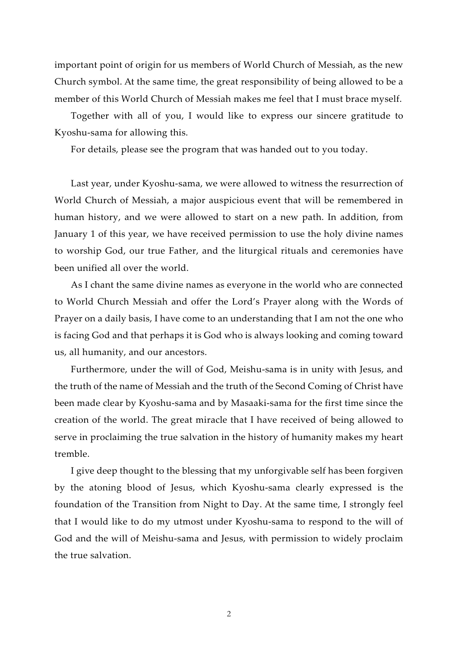important point of origin for us members of World Church of Messiah, as the new Church symbol. At the same time, the great responsibility of being allowed to be a member of this World Church of Messiah makes me feel that I must brace myself.

Together with all of you, I would like to express our sincere gratitude to Kyoshu-sama for allowing this.

For details, please see the program that was handed out to you today.

Last year, under Kyoshu-sama, we were allowed to witness the resurrection of World Church of Messiah, a major auspicious event that will be remembered in human history, and we were allowed to start on a new path. In addition, from January 1 of this year, we have received permission to use the holy divine names to worship God, our true Father, and the liturgical rituals and ceremonies have been unified all over the world.

As I chant the same divine names as everyone in the world who are connected to World Church Messiah and offer the Lord's Prayer along with the Words of Prayer on a daily basis, I have come to an understanding that I am not the one who is facing God and that perhaps it is God who is always looking and coming toward us, all humanity, and our ancestors.

Furthermore, under the will of God, Meishu-sama is in unity with Jesus, and the truth of the name of Messiah and the truth of the Second Coming of Christ have been made clear by Kyoshu-sama and by Masaaki-sama for the first time since the creation of the world. The great miracle that I have received of being allowed to serve in proclaiming the true salvation in the history of humanity makes my heart tremble.

I give deep thought to the blessing that my unforgivable self has been forgiven by the atoning blood of Jesus, which Kyoshu-sama clearly expressed is the foundation of the Transition from Night to Day. At the same time, I strongly feel that I would like to do my utmost under Kyoshu-sama to respond to the will of God and the will of Meishu-sama and Jesus, with permission to widely proclaim the true salvation.